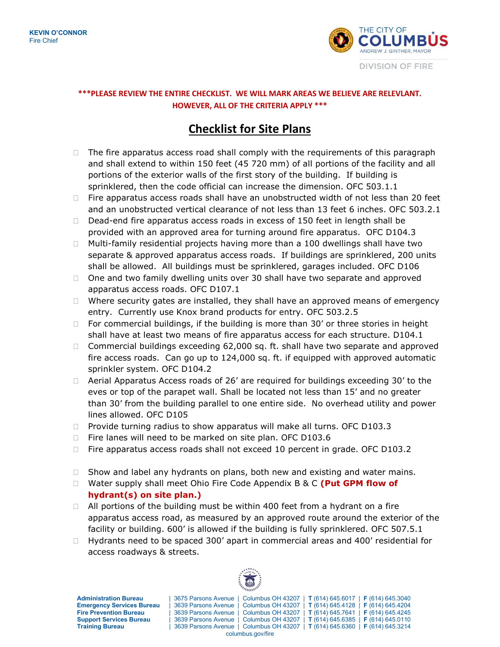

## **\*\*\*PLEASE REVIEW THE ENTIRE CHECKLIST. WE WILL MARK AREAS WE BELIEVE ARE RELEVLANT. HOWEVER, ALL OF THE CRITERIA APPLY \*\*\***

## **Checklist for Site Plans**

- $\Box$  The fire apparatus access road shall comply with the requirements of this paragraph and shall extend to within 150 feet (45 720 mm) of all portions of the facility and all portions of the exterior walls of the first story of the building. If building is sprinklered, then the code official can increase the dimension. OFC 503.1.1
- $\Box$  Fire apparatus access roads shall have an unobstructed width of not less than 20 feet and an unobstructed vertical clearance of not less than 13 feet 6 inches. OFC 503.2.1
- $\Box$  Dead-end fire apparatus access roads in excess of 150 feet in length shall be provided with an approved area for turning around fire apparatus. OFC D104.3
- $\Box$  Multi-family residential projects having more than a 100 dwellings shall have two separate & approved apparatus access roads. If buildings are sprinklered, 200 units shall be allowed. All buildings must be sprinklered, garages included. OFC D106
- $\Box$  One and two family dwelling units over 30 shall have two separate and approved apparatus access roads. OFC D107.1
- $\Box$  Where security gates are installed, they shall have an approved means of emergency entry. Currently use Knox brand products for entry. OFC 503.2.5
- $\Box$  For commercial buildings, if the building is more than 30' or three stories in height shall have at least two means of fire apparatus access for each structure. D104.1
- $\Box$  Commercial buildings exceeding 62,000 sq. ft. shall have two separate and approved fire access roads. Can go up to 124,000 sq. ft. if equipped with approved automatic sprinkler system. OFC D104.2
- $\Box$  Aerial Apparatus Access roads of 26' are required for buildings exceeding 30' to the eves or top of the parapet wall. Shall be located not less than 15' and no greater than 30' from the building parallel to one entire side. No overhead utility and power lines allowed. OFC D105
- $\Box$  Provide turning radius to show apparatus will make all turns. OFC D103.3
- □ Fire lanes will need to be marked on site plan. OFC D103.6
- □ Fire apparatus access roads shall not exceed 10 percent in grade. OFC D103.2
- $\Box$  Show and label any hydrants on plans, both new and existing and water mains.
- □ Water supply shall meet Ohio Fire Code Appendix B & C (Put GPM flow of **hydrant(s) on site plan.)**
- $\Box$  All portions of the building must be within 400 feet from a hydrant on a fire apparatus access road, as measured by an approved route around the exterior of the facility or building. 600' is allowed if the building is fully sprinklered. OFC 507.5.1
- $\Box$  Hydrants need to be spaced 300' apart in commercial areas and 400' residential for access roadways & streets.

**Administration Bureau** | 3675 Parsons Avenue | Columbus OH 43207 | **T** (614) 645.6017 | **F** (614) 645.3040 **Emergency Services Bureau** | 3639 Parsons Avenue | Columbus OH 43207 | **T** (614) 645.4128 | **F** (614) 645.4204 **Fire Prevention Bureau** | 3639 Parsons Avenue | Columbus OH 43207 | **T** (614) 645.7641 | **F** (614) 645.4245 **Training Bureau** | 3639 Parsons Avenue | Columbus OH 43207 | **T** (614) 645.6360 | **F** (614) 645.3214



columbus.gov/fire

**Support Services Bureau** | 3639 Parsons Avenue | Columbus OH 43207 | **T** (614) 645.6385 | **F** (614) 645.0110